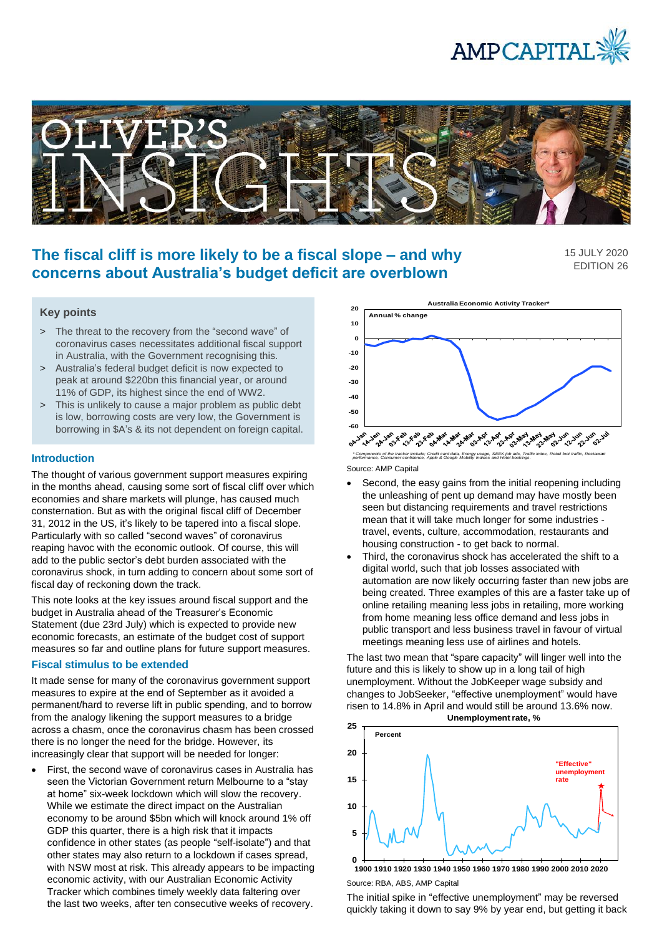



# **The fiscal cliff is more likely to be a fiscal slope – and why concerns about Australia's budget deficit are overblown**

15 JULY 2020 EDITION 26

# **Key points**

- > The threat to the recovery from the "second wave" of coronavirus cases necessitates additional fiscal support in Australia, with the Government recognising this.
- > Australia's federal budget deficit is now expected to peak at around \$220bn this financial year, or around 11% of GDP, its highest since the end of WW2.
- > This is unlikely to cause a major problem as public debt is low, borrowing costs are very low, the Government is borrowing in \$A's & its not dependent on foreign capital.

### **Introduction**

The thought of various government support measures expiring in the months ahead, causing some sort of fiscal cliff over which economies and share markets will plunge, has caused much consternation. But as with the original fiscal cliff of December 31, 2012 in the US, it's likely to be tapered into a fiscal slope. Particularly with so called "second waves" of coronavirus reaping havoc with the economic outlook. Of course, this will add to the public sector's debt burden associated with the coronavirus shock, in turn adding to concern about some sort of fiscal day of reckoning down the track.

This note looks at the key issues around fiscal support and the budget in Australia ahead of the Treasurer's Economic Statement (due 23rd July) which is expected to provide new economic forecasts, an estimate of the budget cost of support measures so far and outline plans for future support measures.

## **Fiscal stimulus to be extended**

It made sense for many of the coronavirus government support measures to expire at the end of September as it avoided a permanent/hard to reverse lift in public spending, and to borrow from the analogy likening the support measures to a bridge across a chasm, once the coronavirus chasm has been crossed there is no longer the need for the bridge. However, its increasingly clear that support will be needed for longer:

• First, the second wave of coronavirus cases in Australia has seen the Victorian Government return Melbourne to a "stay at home" six-week lockdown which will slow the recovery. While we estimate the direct impact on the Australian economy to be around \$5bn which will knock around 1% off GDP this quarter, there is a high risk that it impacts confidence in other states (as people "self-isolate") and that other states may also return to a lockdown if cases spread, with NSW most at risk. This already appears to be impacting economic activity, with our Australian Economic Activity Tracker which combines timely weekly data faltering over the last two weeks, after ten consecutive weeks of recovery.



Source: AMP Capital \* Components of the tracker include; Credit card data, Energy usage, SEEK job ads, Traffic index, Retail foot traffic, Restaurant<br>performance, Consumer confidence, Apple & Google Mobility Indices and Hotel bookings.

- Second, the easy gains from the initial reopening including the unleashing of pent up demand may have mostly been seen but distancing requirements and travel restrictions mean that it will take much longer for some industries travel, events, culture, accommodation, restaurants and housing construction - to get back to normal.
- Third, the coronavirus shock has accelerated the shift to a digital world, such that job losses associated with automation are now likely occurring faster than new jobs are being created. Three examples of this are a faster take up of online retailing meaning less jobs in retailing, more working from home meaning less office demand and less jobs in public transport and less business travel in favour of virtual meetings meaning less use of airlines and hotels.

The last two mean that "spare capacity" will linger well into the future and this is likely to show up in a long tail of high unemployment. Without the JobKeeper wage subsidy and changes to JobSeeker, "effective unemployment" would have risen to 14.8% in April and would still be around 13.6% now. **Unemployment rate, %**



Source: RBA, ABS, AMP Capital **1900 1910 1920 1930 1940 1950 1960 1970 1980 1990 2000 2010 2020**

The initial spike in "effective unemployment" may be reversed quickly taking it down to say 9% by year end, but getting it back